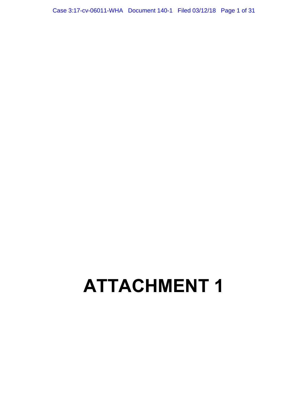Case 3:17-cv-06011-WHA Document 140-1 Filed 03/12/18 Page 1 of 31

## **ATTACHMENT 1**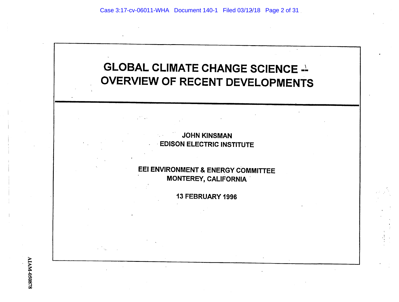Case 3:17-cv-06011-WHA Document 140-1 Filed 03/12/18 Page 2 of 31

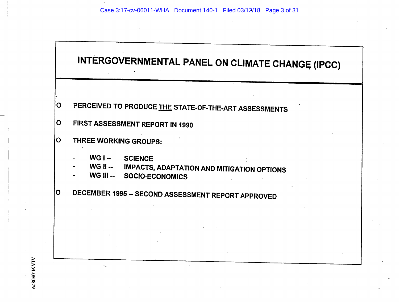

AIAM-050879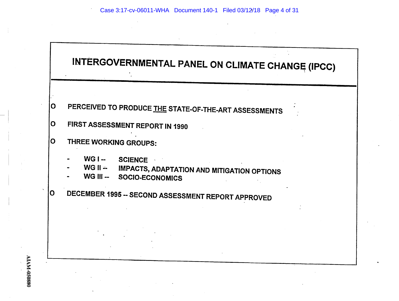Case 3:17-cv-06011-WHA Document 140-1 Filed 03/12/18 Page 4 of 31

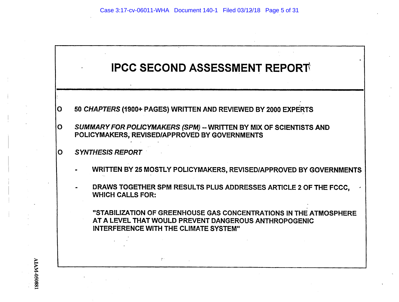|              | <b>IPCC SECOND ASSESSMENT REPORT</b>                                                                                                                                       |
|--------------|----------------------------------------------------------------------------------------------------------------------------------------------------------------------------|
| $\mathbf{O}$ | 50 CHAPTERS (1900+ PAGES) WRITTEN AND REVIEWED BY 2000 EXPERTS                                                                                                             |
| $\mathbf O$  | SUMMARY FOR POLICYMAKERS (SPM) -- WRITTEN BY MIX OF SCIENTISTS AND<br>POLICYMAKERS, REVISED/APPROVED BY GOVERNMENTS                                                        |
| O            | <b>SYNTHESIS REPORT</b>                                                                                                                                                    |
|              | WRITTEN BY 25 MOSTLY POLICYMAKERS, REVISED/APPROVED BY GOVERNMENTS                                                                                                         |
|              | DRAWS TOGETHER SPM RESULTS PLUS ADDRESSES ARTICLE 2 OF THE FCCC,<br><b>WHICH CALLS FOR:</b>                                                                                |
|              | "STABILIZATION OF GREENHOUSE GAS CONCENTRATIONS IN THE ATMOSPHERE<br>AT A LEVEL THAT WOULD PREVENT DANGEROUS ANTHROPOGENIC<br><b>INTERFERENCE WITH THE CLIMATE SYSTEM"</b> |
|              |                                                                                                                                                                            |
|              |                                                                                                                                                                            |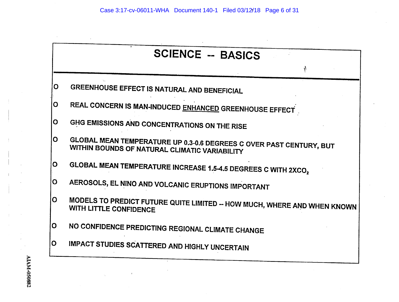|                | <b>SCIENCE -- BASICS</b>                                                                                             |
|----------------|----------------------------------------------------------------------------------------------------------------------|
| $\mathbf O$    | <b>GREENHOUSE EFFECT IS NATURAL AND BENEFICIAL</b>                                                                   |
| $\mathbf{O}$   | REAL CONCERN IS MAN-INDUCED ENHANCED GREENHOUSE EFFECT                                                               |
| $\mathbf{O}$   | GHG EMISSIONS AND CONCENTRATIONS ON THE RISE                                                                         |
| $\mathbf{O}$   | GLOBAL MEAN TEMPERATURE UP 0.3-0.6 DEGREES C OVER PAST CENTURY, BUT<br>WITHIN BOUNDS OF NATURAL CLIMATIC VARIABILITY |
| $\overline{O}$ | GLOBAL MEAN TEMPERATURE INCREASE 1.5-4.5 DEGREES C WITH 2XCO2                                                        |
| $\overline{O}$ | AEROSOLS, EL NINO AND VOLCANIC ERUPTIONS IMPORTANT                                                                   |
| $\mathbf O$    | MODELS TO PREDICT FUTURE QUITE LIMITED -- HOW MUCH, WHERE AND WHEN KNOWN<br>WITH LITTLE CONFIDENCE                   |
| $\mathbf O$    | NO CONFIDENCE PREDICTING REGIONAL CLIMATE CHANGE                                                                     |
| $\mathbf O$    | <b>IMPACT STUDIES SCATTERED AND HIGHLY UNCERTAIN</b>                                                                 |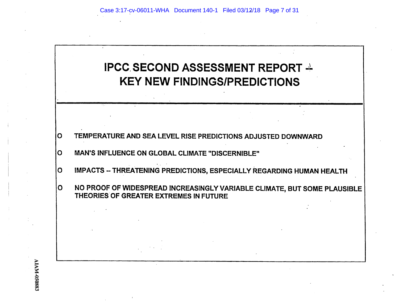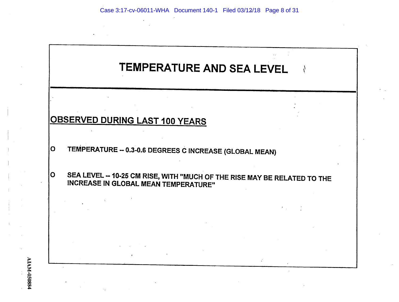Case 3:17-cv-06011-WHA Document 140-1 Filed 03/12/18 Page 8 of 31



AIAM-050884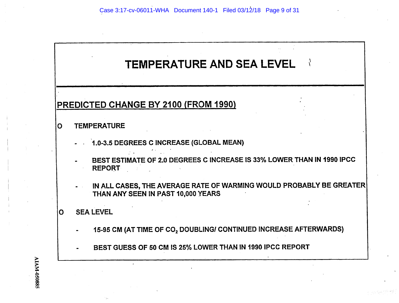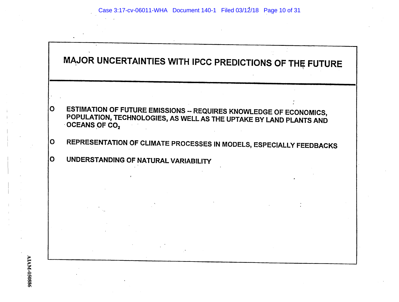| $\mathbf O$ | ESTIMATION OF FUTURE EMISSIONS -- REQUIRES KNOWLEDGE OF ECONOMICS,<br>POPULATION, TECHNOLOGIES, AS WELL AS THE UPTAKE BY LAND PLANTS AND<br>OCEANS OF CO <sub>2</sub> |
|-------------|-----------------------------------------------------------------------------------------------------------------------------------------------------------------------|
| <b>O</b>    | REPRESENTATION OF CLIMATE PROCESSES IN MODELS, ESPECIALLY FEEDBACKS                                                                                                   |
| O           | UNDERSTANDING OF NATURAL VARIABILITY                                                                                                                                  |
|             |                                                                                                                                                                       |
|             |                                                                                                                                                                       |
|             |                                                                                                                                                                       |
|             |                                                                                                                                                                       |
|             |                                                                                                                                                                       |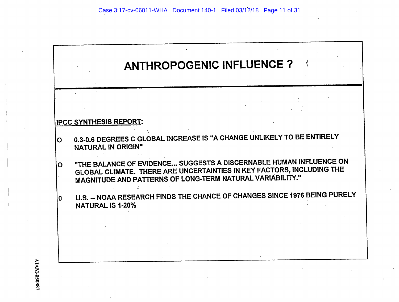| IPCC SYNTHESIS REPORT:<br>O.<br><b>NATURAL IN ORIGIN"</b><br>O<br>MAGNITUDE AND PATTERNS OF LONG-TERM NATURAL VARIABILITY." | 0.3-0.6 DEGREES C GLOBAL INCREASE IS "A CHANGE UNLIKELY TO BE ENTIRELY                                                                      |
|-----------------------------------------------------------------------------------------------------------------------------|---------------------------------------------------------------------------------------------------------------------------------------------|
|                                                                                                                             |                                                                                                                                             |
|                                                                                                                             |                                                                                                                                             |
|                                                                                                                             |                                                                                                                                             |
|                                                                                                                             | "THE BALANCE OF EVIDENCE SUGGESTS A DISCERNABLE HUMAN INFLUENCE ON<br>GLOBAL CLIMATE. THERE ARE UNCERTAINTIES IN KEY FACTORS, INCLUDING THE |
| $\mathbf{0}$<br><b>NATURAL IS 1-20%</b>                                                                                     | U.S. - NOAA RESEARCH FINDS THE CHANCE OF CHANGES SINCE 1976 BEING PURELY                                                                    |
|                                                                                                                             |                                                                                                                                             |
|                                                                                                                             |                                                                                                                                             |
|                                                                                                                             |                                                                                                                                             |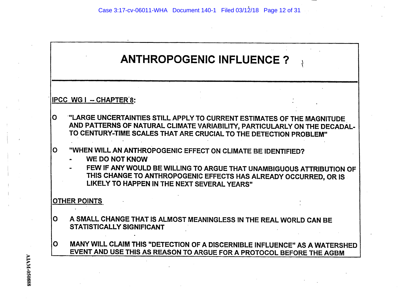|              | <b>ANTHROPOGENIC INFLUENCE?</b>                                                                                                                                                                                                                                                  |
|--------------|----------------------------------------------------------------------------------------------------------------------------------------------------------------------------------------------------------------------------------------------------------------------------------|
|              | <b>IPCC WGI-CHAPTER'8:</b>                                                                                                                                                                                                                                                       |
| $\mathbf{O}$ | "LARGE UNCERTAINTIES STILL APPLY TO CURRENT ESTIMATES OF THE MAGNITUDE<br>AND PATTERNS OF NATURAL CLIMATE VARIABILITY, PARTICULARLY ON THE DECADAL-<br>TO CENTURY-TIME SCALES THAT ARE CRUCIAL TO THE DETECTION PROBLEM"                                                         |
| O            | "WHEN WILL AN ANTHROPOGENIC EFFECT ON CLIMATE BE IDENTIFIED?<br><b>WE DO NOT KNOW</b><br>FEW IF ANY WOULD BE WILLING TO ARGUE THAT UNAMBIGUOUS ATTRIBUTION OF<br>THIS CHANGE TO ANTHROPOGENIC EFFECTS HAS ALREADY OCCURRED, OR IS<br>LIKELY TO HAPPEN IN THE NEXT SEVERAL YEARS" |
|              | <b>OTHER POINTS</b>                                                                                                                                                                                                                                                              |
| 0            | A SMALL CHANGE THAT IS ALMOST MEANINGLESS IN THE REAL WORLD CAN BE<br>STATISTICALLY SIGNIFICANT                                                                                                                                                                                  |
| O            | MANY WILL CLAIM THIS "DETECTION OF A DISCERNIBLE INFLUENCE" AS A WATERSHED<br>EVENT AND USE THIS AS REASON TO ARGUE FOR A PROTOCOL BEFORE THE AGBM                                                                                                                               |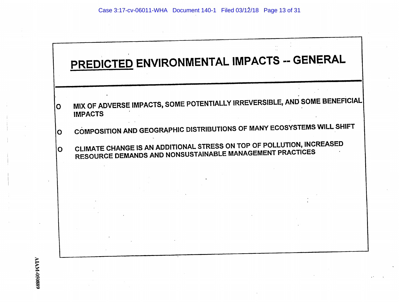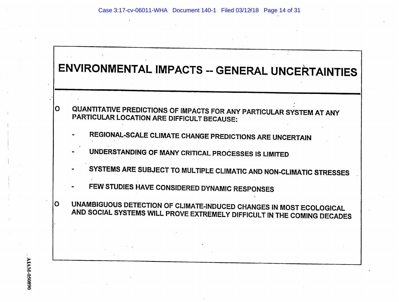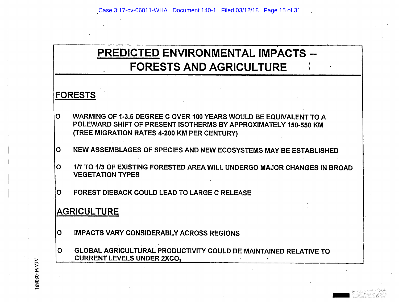$\sim$ 

|              | PREDICTED ENVIRONMENTAL IMPACTS --<br><b>FORESTS AND AGRICULTURE</b>                                                                                                                |
|--------------|-------------------------------------------------------------------------------------------------------------------------------------------------------------------------------------|
|              | <b>FORESTS</b>                                                                                                                                                                      |
| O            | WARMING OF 1-3.5 DEGREE C OVER 100 YEARS WOULD BE EQUIVALENT TO A<br>POLEWARD SHIFT OF PRESENT ISOTHERMS BY APPROXIMATELY 150-550 KM<br>(TREE MIGRATION RATES 4-200 KM PER CENTURY) |
| $\mathbf O$  | NEW ASSEMBLAGES OF SPECIES AND NEW ECOSYSTEMS MAY BE ESTABLISHED                                                                                                                    |
| O            | 1/7 TO 1/3 OF EXISTING FORESTED AREA WILL UNDERGO MAJOR CHANGES IN BROAD<br><b>VEGETATION TYPES</b>                                                                                 |
| O            | FOREST DIEBACK COULD LEAD TO LARGE C RELEASE                                                                                                                                        |
|              | <b>AGRICULTURE</b>                                                                                                                                                                  |
| $\mathbf{O}$ | <b>IMPACTS VARY CONSIDERABLY ACROSS REGIONS</b>                                                                                                                                     |
| $\mathbf{O}$ | GLOBAL AGRICULTURAL PRODUCTIVITY COULD BE MAINTAINED RELATIVE TO<br><b>CURRENT LEVELS UNDER 2XCO,</b>                                                                               |
|              |                                                                                                                                                                                     |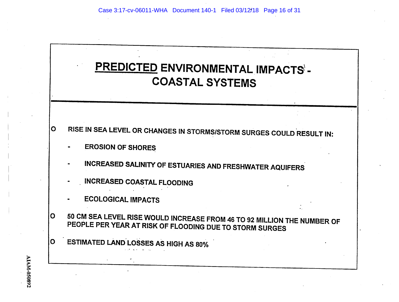Case 3:17-cv-06011-WHA Document 140-1 Filed 03/12/18 Page 16 of 31

|             | <b>PREDICTED ENVIRONMENTAL IMPACTS'-</b><br><b>COASTAL SYSTEMS</b>                                                                 |
|-------------|------------------------------------------------------------------------------------------------------------------------------------|
|             |                                                                                                                                    |
| O           | RISE IN SEA LEVEL OR CHANGES IN STORMS/STORM SURGES COULD RESULT IN:                                                               |
|             | <b>EROSION OF SHORES</b>                                                                                                           |
|             | INCREASED SALINITY OF ESTUARIES AND FRESHWATER AQUIFERS                                                                            |
|             | <b>INCREASED COASTAL FLOODING</b>                                                                                                  |
|             | <b>ECOLOGICAL IMPACTS</b>                                                                                                          |
| $\mathbf O$ | 50 CM SEA LEVEL RISE WOULD INCREASE FROM 46 TO 92 MILLION THE NUMBER OF<br>PEOPLE PER YEAR AT RISK OF FLOODING DUE TO STORM SURGES |
| $\Omega$    | ESTIMATED LAND LOSSES AS HIGH AS 80%                                                                                               |

**Z680S0-NVIV**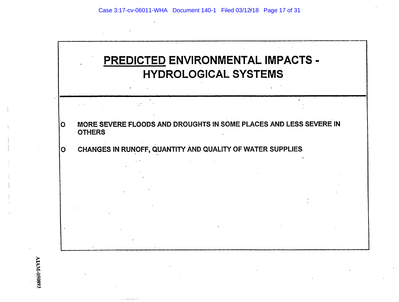Case 3:17-cv-06011-WHA Document 140-1 Filed 03/12/18 Page 17 of 31

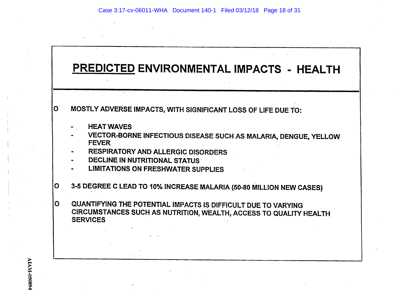Case 3:17-cv-06011-WHA Document 140-1 Filed 03/12/18 Page 18 of 31

|             | PREDICTED ENVIRONMENTAL IMPACTS - HEALTH                                             |
|-------------|--------------------------------------------------------------------------------------|
| $\mathbf O$ | MOSTLY ADVERSE IMPACTS, WITH SIGNIFICANT LOSS OF LIFE DUE TO:                        |
|             | <b>HEAT WAVES</b>                                                                    |
|             | VECTOR-BORNE INFECTIOUS DISEASE SUCH AS MALARIA, DENGUE, YELLOW<br><b>FEVER</b>      |
|             | <b>RESPIRATORY AND ALLERGIC DISORDERS</b>                                            |
|             | DECLINE IN NUTRITIONAL STATUS                                                        |
|             | <b>LIMITATIONS ON FRESHWATER SUPPLIES</b>                                            |
| O           | 3-5 DEGREE C LEAD TO 10% INCREASE MALARIA (50-80 MILLION NEW CASES)                  |
| O           | QUANTIFYING THE POTENTIAL IMPACTS IS DIFFICULT DUE TO VARYING                        |
|             | CIRCUMSTANCES SUCH AS NUTRITION, WEALTH, ACCESS TO QUALITY HEALTH<br><b>SERVICES</b> |
|             |                                                                                      |
|             |                                                                                      |
|             |                                                                                      |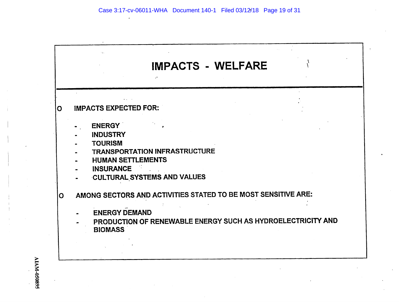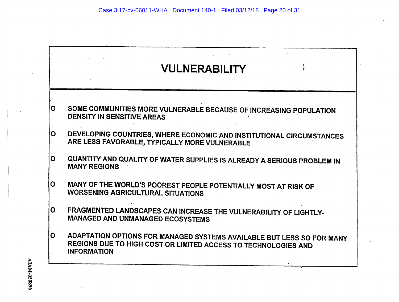Case 3:17-cv-06011-WHA Document 140-1 Filed 03/12/18 Page 20 of 31

 $\epsilon$  $\sim 10$ 

 $\mathbb{R}^2$ 

|              | <b>VULNERABILITY</b>                                                                                                                                          |
|--------------|---------------------------------------------------------------------------------------------------------------------------------------------------------------|
| O            | SOME COMMUNITIES MORE VULNERABLE BECAUSE OF INCREASING POPULATION<br>DENSITY IN SENSITIVE AREAS                                                               |
| $\mathbf{O}$ | DEVELOPING COUNTRIES, WHERE ECONOMIC AND INSTITUTIONAL CIRCUMSTANCES<br>ARE LESS FAVORABLE, TYPICALLY MORE VULNERABLE                                         |
| $\mathbf{O}$ | QUANTITY AND QUALITY OF WATER SUPPLIES IS ALREADY A SERIOUS PROBLEM IN<br><b>MANY REGIONS</b>                                                                 |
| $\mathbf{O}$ | MANY OF THE WORLD'S POOREST PEOPLE POTENTIALLY MOST AT RISK OF<br><b>WORSENING AGRICULTURAL SITUATIONS</b>                                                    |
| $\mathbf 0$  | FRAGMENTED LANDSCAPES CAN INCREASE THE VULNERABILITY OF LIGHTLY-<br><b>MANAGED AND UNMANAGED ECOSYSTEMS</b>                                                   |
| O.           | ADAPTATION OPTIONS FOR MANAGED SYSTEMS AVAILABLE BUT LESS SO FOR MANY<br>REGIONS DUE TO HIGH COST OR LIMITED ACCESS TO TECHNOLOGIES AND<br><b>INFORMATION</b> |

968050-NVIV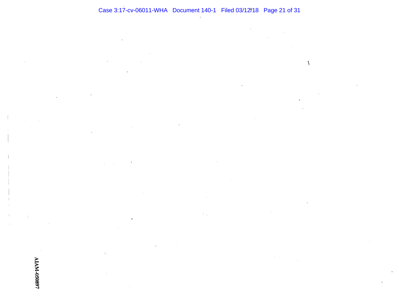## Case 3:17-cv-06011-WHA Document 140-1 Filed 03/12/18 Page 21 of 31

 $\sim$ **L68050-NVIV**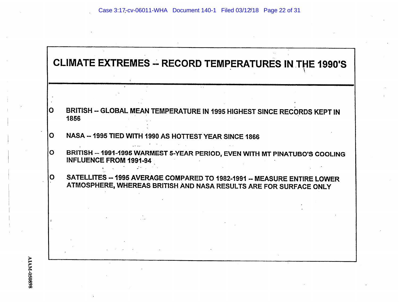| <b>CLIMATE EXTREMES - RECORD TEMPERATURES IN THE 1990'S</b> |                                                                                                                                               |
|-------------------------------------------------------------|-----------------------------------------------------------------------------------------------------------------------------------------------|
|                                                             |                                                                                                                                               |
| O                                                           | BRITISH -- GLOBAL MEAN TEMPERATURE IN 1995 HIGHEST SINCE RECORDS KEPT IN<br>1856                                                              |
| $\mathbf{O}$                                                | NASA -- 1995 TIED WITH 1990 AS HOTTEST YEAR SINCE 1866                                                                                        |
| O.                                                          | BRITISH -- 1991-1995 WARMEST 5-YEAR PERIOD, EVEN WITH MT PINATUBO'S COOLING<br><b>INFLUENCE FROM 1991-94</b>                                  |
| O                                                           | SATELLITES -- 1995 AVERAGE COMPARED TO 1982-1991 -- MEASURE ENTIRE LOWER<br>ATMOSPHERE, WHEREAS BRITISH AND NASA RESULTS ARE FOR SURFACE ONLY |
|                                                             |                                                                                                                                               |
|                                                             |                                                                                                                                               |
|                                                             |                                                                                                                                               |
|                                                             |                                                                                                                                               |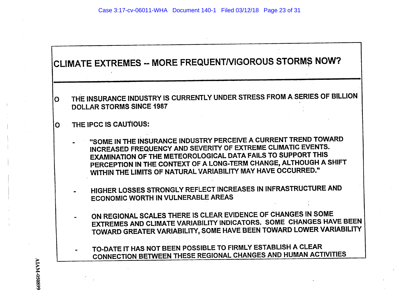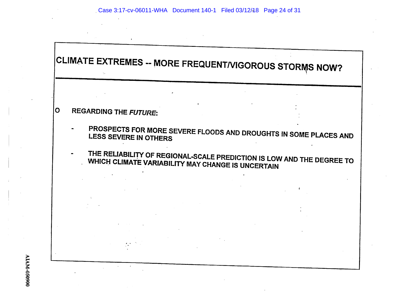Case 3:17-cv-06011-WHA Document 140-1 Filed 03/12/18 Page 24 of 31

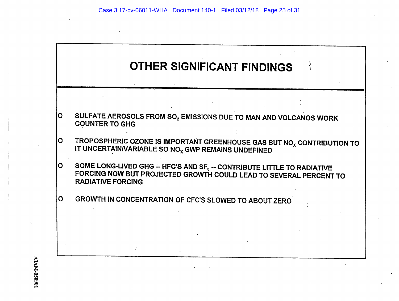|              | OTHER SIGNIFICANT FINDINGS                                                                                                                                                         |  |
|--------------|------------------------------------------------------------------------------------------------------------------------------------------------------------------------------------|--|
|              |                                                                                                                                                                                    |  |
| $\mathbf O$  | SULFATE AEROSOLS FROM SO <sub>2</sub> EMISSIONS DUE TO MAN AND VOLCANOS WORK<br><b>COUNTER TO GHG</b>                                                                              |  |
| O            | TROPOSPHERIC OZONE IS IMPORTANT GREENHOUSE GAS BUT NO <sub>x</sub> CONTRIBUTION TO<br>IT UNCERTAIN/VARIABLE SO NO <sub>x</sub> GWP REMAINS UNDEFINED                               |  |
| $\mathbf{O}$ | SOME LONG-LIVED GHG - HFC'S AND SF <sub>6</sub> -- CONTRIBUTE LITTLE TO RADIATIVE<br>FORCING NOW BUT PROJECTED GROWTH COULD LEAD TO SEVERAL PERCENT TO<br><b>RADIATIVE FORCING</b> |  |
| $\mathbf{O}$ | GROWTH IN CONCENTRATION OF CFC'S SLOWED TO ABOUT ZERO                                                                                                                              |  |
|              |                                                                                                                                                                                    |  |
|              |                                                                                                                                                                                    |  |
|              |                                                                                                                                                                                    |  |
|              |                                                                                                                                                                                    |  |

**I060S0-NVIV**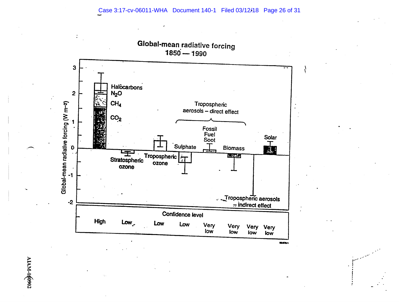Global-mean radiative forcing<br>1850 - 1990  $\mathbf{3}$ Halocarbons  $N<sub>2</sub>O$  $\overline{\mathbf{c}}$  $CH<sub>4</sub>$ Tropospheric Global-mean radiative forcing (W m-2) aerosols - direct effect  $CO<sub>2</sub>$ Fossil<br>Fuel<br>Soot Solar<br>E Sulphate  $\mathbf{O}$ **Biomass** 圧 Tropospheric **LEE** Stratospheric ozone ozone  $-1$ Tropospheric aerosols  $-2$  $\frac{1}{x}$  indirect effect Confidence level High Low<sub>.</sub> Low Low Very Very Very Very **low** low low **low** 

**M4761** 

AIAM-0\$0902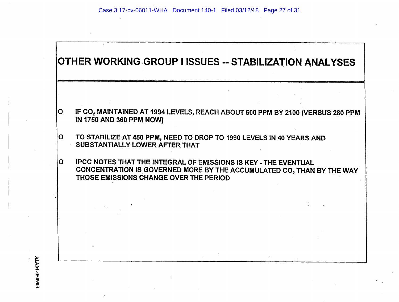|              | OTHER WORKING GROUP I ISSUES -- STABILIZATION ANALYSES                                                                                                                             |  |
|--------------|------------------------------------------------------------------------------------------------------------------------------------------------------------------------------------|--|
|              |                                                                                                                                                                                    |  |
| O.           | IF CO <sub>2</sub> MAINTAINED AT 1994 LEVELS, REACH ABOUT 500 PPM BY 2100 (VERSUS 280 PPM<br>IN 1750 AND 360 PPM NOW)                                                              |  |
| $\mathbf{O}$ | TO STABILIZE AT 450 PPM, NEED TO DROP TO 1990 LEVELS IN 40 YEARS AND<br>SUBSTANTIALLY LOWER AFTER THAT                                                                             |  |
| O.           | IPCC NOTES THAT THE INTEGRAL OF EMISSIONS IS KEY - THE EVENTUAL<br>CONCENTRATION IS GOVERNED MORE BY THE ACCUMULATED CO2 THAN BY THE WAY<br>THOSE EMISSIONS CHANGE OVER THE PERIOD |  |
|              |                                                                                                                                                                                    |  |
|              |                                                                                                                                                                                    |  |
|              |                                                                                                                                                                                    |  |
|              |                                                                                                                                                                                    |  |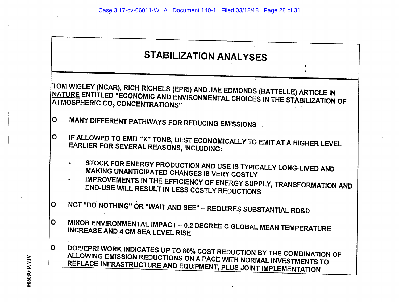$\sim 10^{-1}$ 

|                                                                                                                                                                                                       | <b>STABILIZATION ANALYSES</b>                                                                                                                                                                                                          |
|-------------------------------------------------------------------------------------------------------------------------------------------------------------------------------------------------------|----------------------------------------------------------------------------------------------------------------------------------------------------------------------------------------------------------------------------------------|
| TOM WIGLEY (NCAR), RICH RICHELS (EPRI) AND JAE EDMONDS (BATTELLE) ARTICLE IN<br><u>NATURE</u> ENTITLED "ECONOMIC AND ENVIRONMENTAL CHOICES IN THE STABILIZATION OF<br>ATMOSPHERIC CO2 CONCENTRATIONS" |                                                                                                                                                                                                                                        |
| $\overline{O}$                                                                                                                                                                                        | MANY DIFFERENT PATHWAYS FOR REDUCING EMISSIONS                                                                                                                                                                                         |
| $\mathbf O$                                                                                                                                                                                           | IF ALLOWED TO EMIT "X" TONS, BEST ECONOMICALLY TO EMIT AT A HIGHER LEVEL<br>EARLIER FOR SEVERAL REASONS, INCLUDING:                                                                                                                    |
|                                                                                                                                                                                                       | STOCK FOR ENERGY PRODUCTION AND USE IS TYPICALLY LONG-LIVED AND<br>MAKING UNANTICIPATED CHANGES IS VERY COSTLY<br>IMPROVEMENTS IN THE EFFICIENCY OF ENERGY SUPPLY, TRANSFORMATION AND<br>END-USE WILL RESULT IN LESS COSTLY REDUCTIONS |
| <b>O</b>                                                                                                                                                                                              | NOT "DO NOTHING" OR "WAIT AND SEE" -- REQUIRES SUBSTANTIAL RD&D                                                                                                                                                                        |
| $\mathbf{O}$                                                                                                                                                                                          | MINOR ENVIRONMENTAL IMPACT -- 0.2 DEGREE C GLOBAL MEAN TEMPERATURE<br>INCREASE AND 4 CM SEA LEVEL RISE                                                                                                                                 |
| $\mathbf{O}$                                                                                                                                                                                          | DOE/EPRI WORK INDICATES UP TO 80% COST REDUCTION BY THE COMBINATION OF<br>ALLOWING EMISSION REDUCTIONS ON A PACE WITH NORMAL INVESTMENTS TO<br>REPLACE INFRASTRUCTURE AND EQUIPMENT, PLUS JOINT IMPLEMENTATION                         |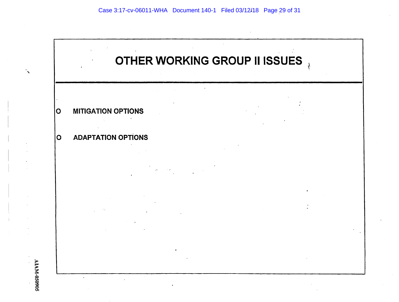

**AIAM-050905**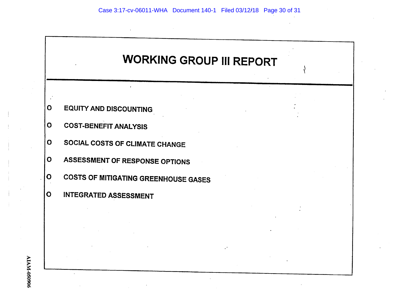